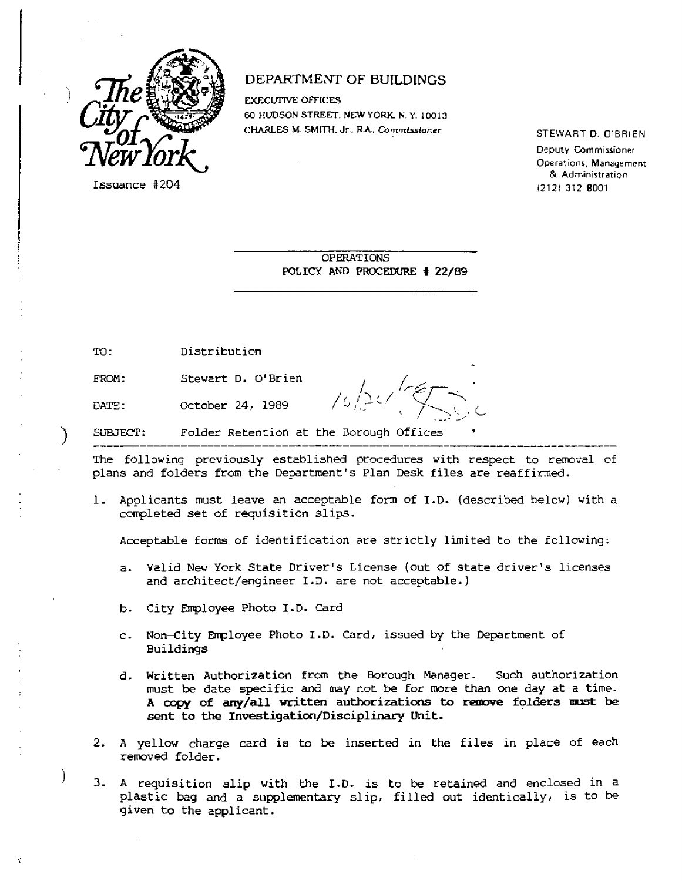

Issuance #204

DATE:

# DEPARTMENT OF BUILDINGS

EXECUTIVE OFFICES 60 HUDSON STREET. NEW YORK N. Y. 10013 CHARLES M. SMITH. Jr.. RA— Commissioner

STEWART **D.** O'BRIEN Deputy Commissioner Operations, Management & Administration (212) 312-8001

OPERATIONS POLICY AND PROCEDURE # 22/89

FROM: Stewart D. O'Brien

October 24, 1989

 $16/24$ 

) SUBJECT: Folder Retention at the Borough Offices

The following previously established procedures with respect to removal of plans and folders from the Department's Plan Desk files are reaffirmed.

1. Applicants must leave an acceptable form of I.D. (described below) with a completed set of requisition slips.

Acceptable forms of identification are strictly limited to the following:

- a. Valid New York State Driver's License (out of state driver's licenses and architect/engineer I.D. are not acceptable.)
- b. City Employee Photo I.D. Card
- c. Non-City Employee Photo I.D. Card, issued by the Department of Buildings
- d. Written Authorization from the Borough Manager. Such authorization must be date specific and may not be for more than one day at a time. **A copy of any/all written authorizations to remove folders must be sent to the Investigation/Disciplinary Unit.**
- 2. A yellow charge card is to be inserted in the files in place of each removed folder.
- 3. A requisition slip with the I.D. is to be retained and enclosed in a plastic bag and a supplementary slip, filled out identically, is to be given to the applicant.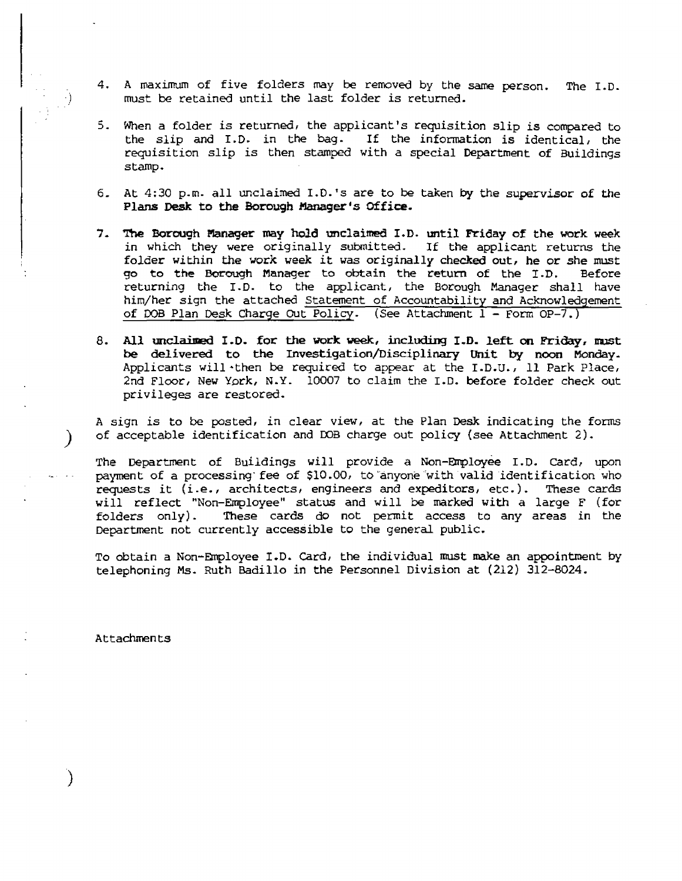- 4. A maximum of five folders may be removed by the same person. The I.D. must be retained until the last folder is returned.
- 5. When a folder is returned, the applicant's requisition slip is compared to the slip and I.D. in the bag. If the information is identical, the requisition slip is then stamped with a special Department of Buildings stamp.
- 6. At 4:30 p.m. all unclaimed I.D.'s are to be taken by the supervisor of the **Plans Desk to the Borough Manager's Office.**
- **7. The Borough Manager may hold unclaimed I.D. until Friday of** the work week in which they were originally submitted. If the applicant returns the folder within **the work** week it **was** originally **checked out, he or** she must **go to the Borough** Manager to obtain the return of the I.D. Before returning the I.D. to the applicant, the Borough Manager shall have him/her sign the attached Statement of Accountability and Acknowledgement of DOB Plan Desk Charge Out Policy. (See Attachment 1 - Form OP-7.)
- **8. AU unclaimed I.D. for the work week, including I.D. left on Friday, must be** delivered **to the Investigation/Disciplinary Unit by noon Monday.**  Applicants will-then be required to appear at the I.D.U., 11 Park Place, 2nd Floor, New York, N.Y. 10007 to claim the I.D. before folder check out privileges are restored.

A sign is to be posted, in clear view, at the Plan Desk indicating the forms of acceptable identification and DOB charge out policy (see Attachment 2).

The Department of Buildings will provide a Non-Employee I.D. Card, upon payment of a processing- fee of \$10.00, to anyone with valid identification who requests it (i.e., architects, engineers and expeditors, etc.). These cards will reflect "Non-Employee" status and will be marked with a large F (for folders only). These cards do not permit access to any areas in the Department not currently accessible to the general public.

To obtain a Non-Employee I.D. Card, the individual must make an appointment by telephoning **Ms.** Ruth Badillo in the Personnel Division at (212) 312-8024.

Attachments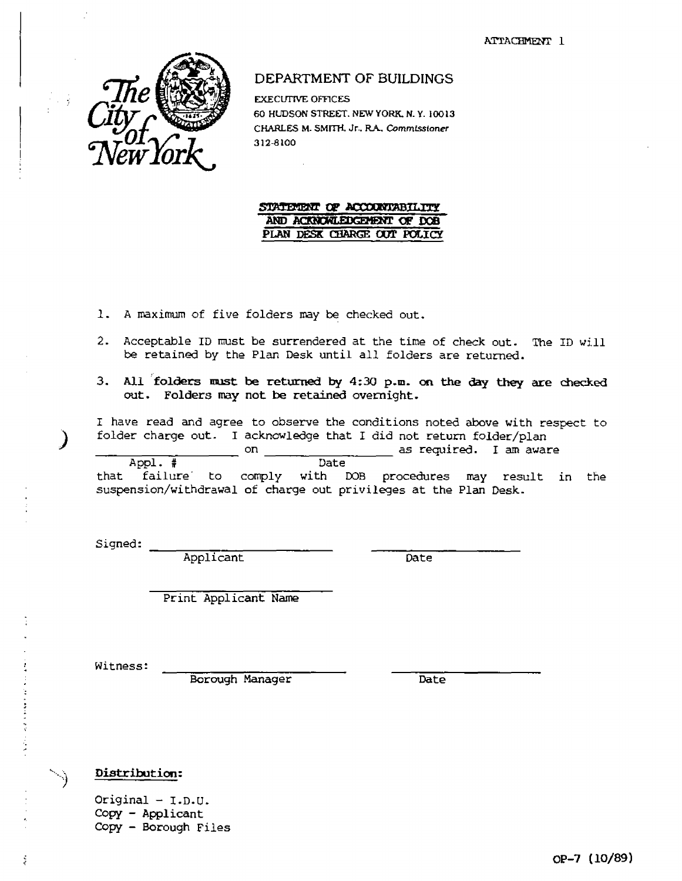ATTACHMENT 1



DEPARTMENT OF BUILDINGS

EXECUTIVE OFFICES 60 HUDSON STREET. NEW YORK, N. Y. 10013 CHARLES M. SMITH. Jr., R.A., Commissioner 312-8100

## STATEMENT OF ACCOUNTABILITY **AND ACKNOWLEDGEMENT OF DOB PLAN DESK CHARGE OUT POLICY**

- 1. A maximum of five folders may be checked out.
- 2. Acceptable ID must be surrendered at the time of check out. The ID will be retained by the Plan Desk until all folders are returned.
- **3. All folders must be returned by 4:30 p.m. on the day they are checked out. Folders may not be retained overnight.**

I have read and agree to observe the conditions noted above with respect to folder charge out. I acknowledge that I did not return folder/plan

Appl. # on as required. I am aware

Date<sup>1</sup>

that failure' to c suspension/withdrawal of charge out privileges at the Plan Desk. with DOB procedures may result in the

Signed:

Applicant Date

Print Applicant Name

Witness:

医异体性黄疸 医血管 医前缀的

ś

Borough Manager Date

### **Distribution:**

Original - I.D.U. Copy - Applicant Copy - Borough Files